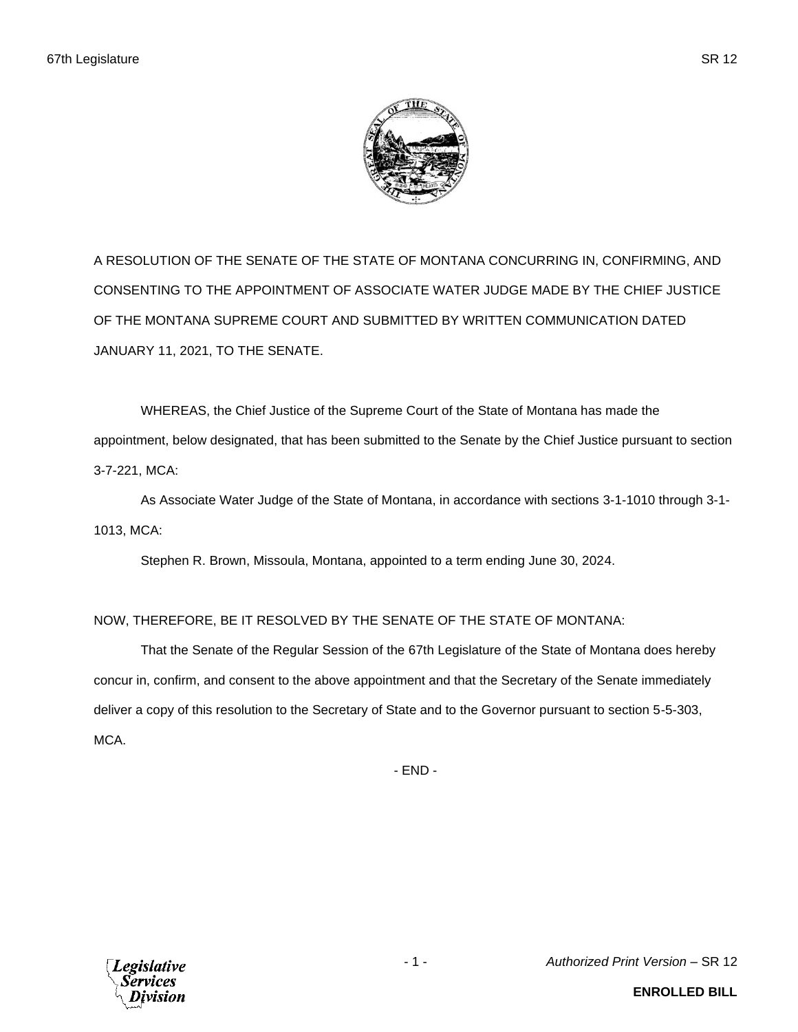A RESOLUTION OF THE SENATE OF THE STATE OF MONTANA CONCURRING IN, CONFIRMING, AND CONSENTING TO THE APPOINTMENT OF ASSOCIATE WATER JUDGE MADE BY THE CHIEF JUSTICE OF THE MONTANA SUPREME COURT AND SUBMITTED BY WRITTEN COMMUNICATION DATED JANUARY 11, 2021, TO THE SENATE.

WHEREAS, the Chief Justice of the Supreme Court of the State of Montana has made the appointment, below designated, that has been submitted to the Senate by the Chief Justice pursuant to section 3-7-221, MCA:

As Associate Water Judge of the State of Montana, in accordance with sections 3-1-1010 through 3-1- 1013, MCA:

Stephen R. Brown, Missoula, Montana, appointed to a term ending June 30, 2024.

## NOW, THEREFORE, BE IT RESOLVED BY THE SENATE OF THE STATE OF MONTANA:

That the Senate of the Regular Session of the 67th Legislature of the State of Montana does hereby concur in, confirm, and consent to the above appointment and that the Secretary of the Senate immediately deliver a copy of this resolution to the Secretary of State and to the Governor pursuant to section 5-5-303, MCA.

- END -



- 1 - *Authorized Print Version* – SR 12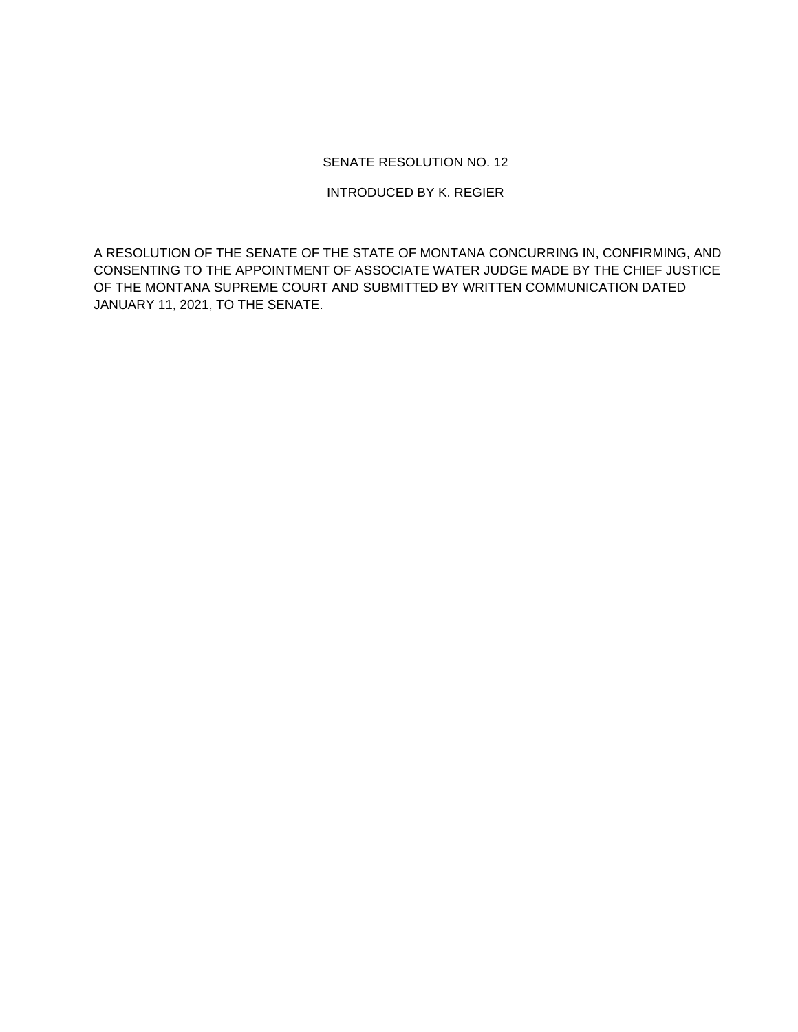## SENATE RESOLUTION NO. 12

INTRODUCED BY K. REGIER

A RESOLUTION OF THE SENATE OF THE STATE OF MONTANA CONCURRING IN, CONFIRMING, AND CONSENTING TO THE APPOINTMENT OF ASSOCIATE WATER JUDGE MADE BY THE CHIEF JUSTICE OF THE MONTANA SUPREME COURT AND SUBMITTED BY WRITTEN COMMUNICATION DATED JANUARY 11, 2021, TO THE SENATE.